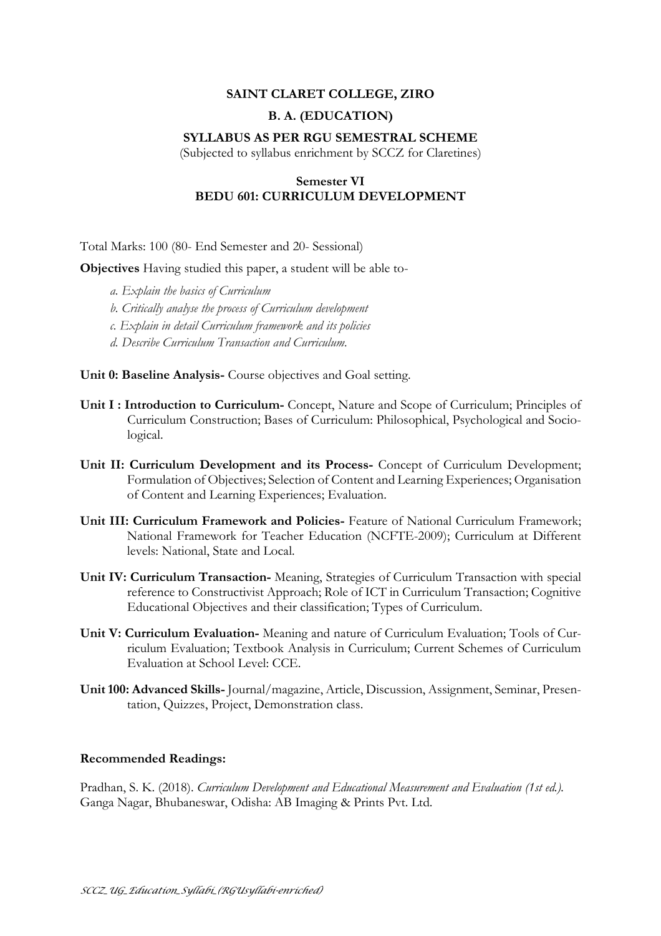# **SAINT CLARET COLLEGE, ZIRO**

# **B. A. (EDUCATION)**

### **SYLLABUS AS PER RGU SEMESTRAL SCHEME**

(Subjected to syllabus enrichment by SCCZ for Claretines)

# **Semester VI BEDU 601: CURRICULUM DEVELOPMENT**

Total Marks: 100 (80- End Semester and 20- Sessional)

**Objectives** Having studied this paper, a student will be able to-

- *a. Explain the basics of Curriculum*
- *b. Critically analyse the process of Curriculum development*
- *c. Explain in detail Curriculum framework and its policies*
- *d. Describe Curriculum Transaction and Curriculum.*

**Unit 0: Baseline Analysis-** Course objectives and Goal setting.

- **Unit I : Introduction to Curriculum-** Concept, Nature and Scope of Curriculum; Principles of Curriculum Construction; Bases of Curriculum: Philosophical, Psychological and Sociological.
- **Unit II: Curriculum Development and its Process-** Concept of Curriculum Development; Formulation of Objectives; Selection of Content and Learning Experiences; Organisation of Content and Learning Experiences; Evaluation.
- **Unit III: Curriculum Framework and Policies-** Feature of National Curriculum Framework; National Framework for Teacher Education (NCFTE-2009); Curriculum at Different levels: National, State and Local.
- **Unit IV: Curriculum Transaction-** Meaning, Strategies of Curriculum Transaction with special reference to Constructivist Approach; Role of ICT in Curriculum Transaction; Cognitive Educational Objectives and their classification; Types of Curriculum.
- **Unit V: Curriculum Evaluation-** Meaning and nature of Curriculum Evaluation; Tools of Curriculum Evaluation; Textbook Analysis in Curriculum; Current Schemes of Curriculum Evaluation at School Level: CCE.
- **Unit100: Advanced Skills-** Journal/magazine, Article, Discussion, Assignment, Seminar, Presentation, Quizzes, Project, Demonstration class.

#### **Recommended Readings:**

Pradhan, S. K. (2018). *Curriculum Development and Educational Measurement and Evaluation (1st ed.).* Ganga Nagar, Bhubaneswar, Odisha: AB Imaging & Prints Pvt. Ltd.